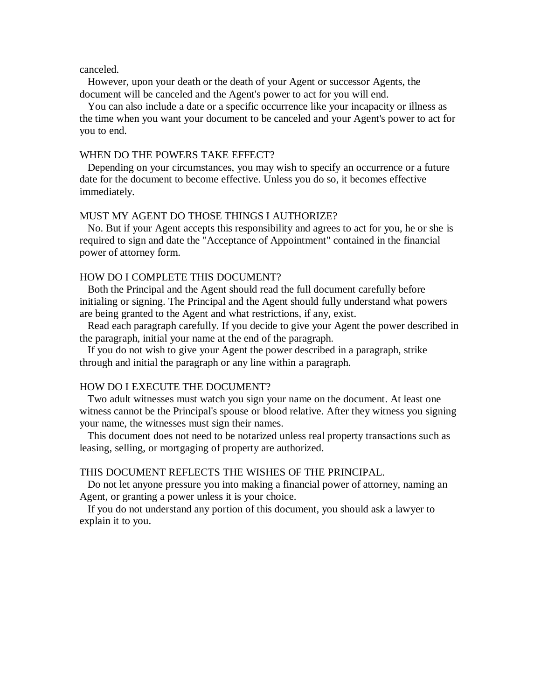### canceled.

 However, upon your death or the death of your Agent or successor Agents, the document will be canceled and the Agent's power to act for you will end.

 You can also include a date or a specific occurrence like your incapacity or illness as the time when you want your document to be canceled and your Agent's power to act for you to end.

#### WHEN DO THE POWERS TAKE EFFECT?

 Depending on your circumstances, you may wish to specify an occurrence or a future date for the document to become effective. Unless you do so, it becomes effective immediately.

### MUST MY AGENT DO THOSE THINGS I AUTHORIZE?

 No. But if your Agent accepts this responsibility and agrees to act for you, he or she is required to sign and date the "Acceptance of Appointment" contained in the financial power of attorney form.

## HOW DO I COMPLETE THIS DOCUMENT?

 Both the Principal and the Agent should read the full document carefully before initialing or signing. The Principal and the Agent should fully understand what powers are being granted to the Agent and what restrictions, if any, exist.

 Read each paragraph carefully. If you decide to give your Agent the power described in the paragraph, initial your name at the end of the paragraph.

 If you do not wish to give your Agent the power described in a paragraph, strike through and initial the paragraph or any line within a paragraph.

# HOW DO I EXECUTE THE DOCUMENT?

 Two adult witnesses must watch you sign your name on the document. At least one witness cannot be the Principal's spouse or blood relative. After they witness you signing your name, the witnesses must sign their names.

 This document does not need to be notarized unless real property transactions such as leasing, selling, or mortgaging of property are authorized.

## THIS DOCUMENT REFLECTS THE WISHES OF THE PRINCIPAL.

 Do not let anyone pressure you into making a financial power of attorney, naming an Agent, or granting a power unless it is your choice.

 If you do not understand any portion of this document, you should ask a lawyer to explain it to you.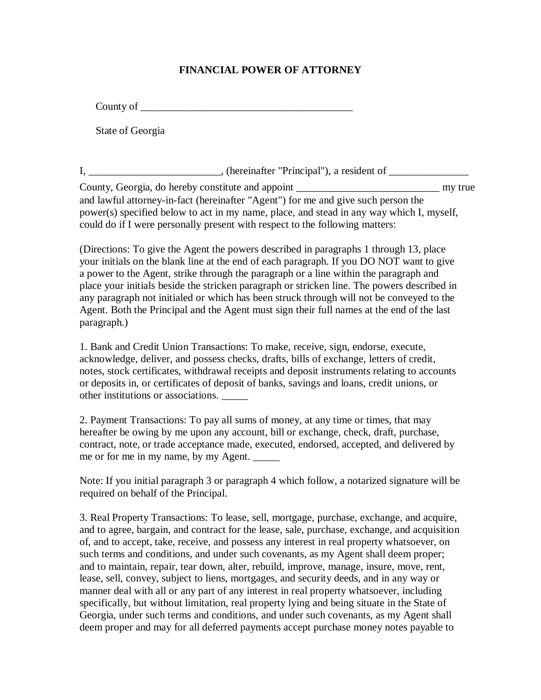# **FINANCIAL POWER OF ATTORNEY**

County of \_\_\_\_\_\_\_\_\_\_\_\_\_\_\_\_\_\_\_\_\_\_\_\_\_\_\_\_\_\_\_\_\_\_\_\_\_\_\_\_

State of Georgia

I, \_\_\_\_\_\_\_\_\_\_\_\_\_\_\_\_\_\_\_\_\_\_\_\_\_\_\_, (hereinafter "Principal"), a resident of \_\_\_\_\_\_\_\_\_\_\_\_\_\_\_\_\_\_\_\_\_\_\_\_\_\_

County, Georgia, do hereby constitute and appoint Theorem 2011 my true and lawful attorney-in-fact (hereinafter "Agent") for me and give such person the power(s) specified below to act in my name, place, and stead in any way which I, myself, could do if I were personally present with respect to the following matters:

(Directions: To give the Agent the powers described in paragraphs 1 through 13, place your initials on the blank line at the end of each paragraph. If you DO NOT want to give a power to the Agent, strike through the paragraph or a line within the paragraph and place your initials beside the stricken paragraph or stricken line. The powers described in any paragraph not initialed or which has been struck through will not be conveyed to the Agent. Both the Principal and the Agent must sign their full names at the end of the last paragraph.)

1. Bank and Credit Union Transactions: To make, receive, sign, endorse, execute, acknowledge, deliver, and possess checks, drafts, bills of exchange, letters of credit, notes, stock certificates, withdrawal receipts and deposit instruments relating to accounts or deposits in, or certificates of deposit of banks, savings and loans, credit unions, or other institutions or associations. \_\_\_\_\_

2. Payment Transactions: To pay all sums of money, at any time or times, that may hereafter be owing by me upon any account, bill or exchange, check, draft, purchase, contract, note, or trade acceptance made, executed, endorsed, accepted, and delivered by me or for me in my name, by my Agent.

Note: If you initial paragraph 3 or paragraph 4 which follow, a notarized signature will be required on behalf of the Principal.

3. Real Property Transactions: To lease, sell, mortgage, purchase, exchange, and acquire, and to agree, bargain, and contract for the lease, sale, purchase, exchange, and acquisition of, and to accept, take, receive, and possess any interest in real property whatsoever, on such terms and conditions, and under such covenants, as my Agent shall deem proper; and to maintain, repair, tear down, alter, rebuild, improve, manage, insure, move, rent, lease, sell, convey, subject to liens, mortgages, and security deeds, and in any way or manner deal with all or any part of any interest in real property whatsoever, including specifically, but without limitation, real property lying and being situate in the State of Georgia, under such terms and conditions, and under such covenants, as my Agent shall deem proper and may for all deferred payments accept purchase money notes payable to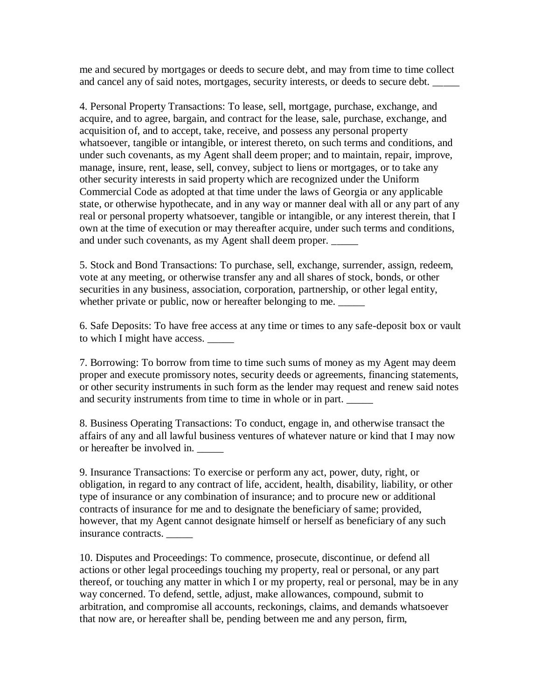me and secured by mortgages or deeds to secure debt, and may from time to time collect and cancel any of said notes, mortgages, security interests, or deeds to secure debt.

4. Personal Property Transactions: To lease, sell, mortgage, purchase, exchange, and acquire, and to agree, bargain, and contract for the lease, sale, purchase, exchange, and acquisition of, and to accept, take, receive, and possess any personal property whatsoever, tangible or intangible, or interest thereto, on such terms and conditions, and under such covenants, as my Agent shall deem proper; and to maintain, repair, improve, manage, insure, rent, lease, sell, convey, subject to liens or mortgages, or to take any other security interests in said property which are recognized under the Uniform Commercial Code as adopted at that time under the laws of Georgia or any applicable state, or otherwise hypothecate, and in any way or manner deal with all or any part of any real or personal property whatsoever, tangible or intangible, or any interest therein, that I own at the time of execution or may thereafter acquire, under such terms and conditions, and under such covenants, as my Agent shall deem proper.

5. Stock and Bond Transactions: To purchase, sell, exchange, surrender, assign, redeem, vote at any meeting, or otherwise transfer any and all shares of stock, bonds, or other securities in any business, association, corporation, partnership, or other legal entity, whether private or public, now or hereafter belonging to me.

6. Safe Deposits: To have free access at any time or times to any safe-deposit box or vault to which I might have access.

7. Borrowing: To borrow from time to time such sums of money as my Agent may deem proper and execute promissory notes, security deeds or agreements, financing statements, or other security instruments in such form as the lender may request and renew said notes and security instruments from time to time in whole or in part.

8. Business Operating Transactions: To conduct, engage in, and otherwise transact the affairs of any and all lawful business ventures of whatever nature or kind that I may now or hereafter be involved in.

9. Insurance Transactions: To exercise or perform any act, power, duty, right, or obligation, in regard to any contract of life, accident, health, disability, liability, or other type of insurance or any combination of insurance; and to procure new or additional contracts of insurance for me and to designate the beneficiary of same; provided, however, that my Agent cannot designate himself or herself as beneficiary of any such insurance contracts. \_\_\_\_\_

10. Disputes and Proceedings: To commence, prosecute, discontinue, or defend all actions or other legal proceedings touching my property, real or personal, or any part thereof, or touching any matter in which I or my property, real or personal, may be in any way concerned. To defend, settle, adjust, make allowances, compound, submit to arbitration, and compromise all accounts, reckonings, claims, and demands whatsoever that now are, or hereafter shall be, pending between me and any person, firm,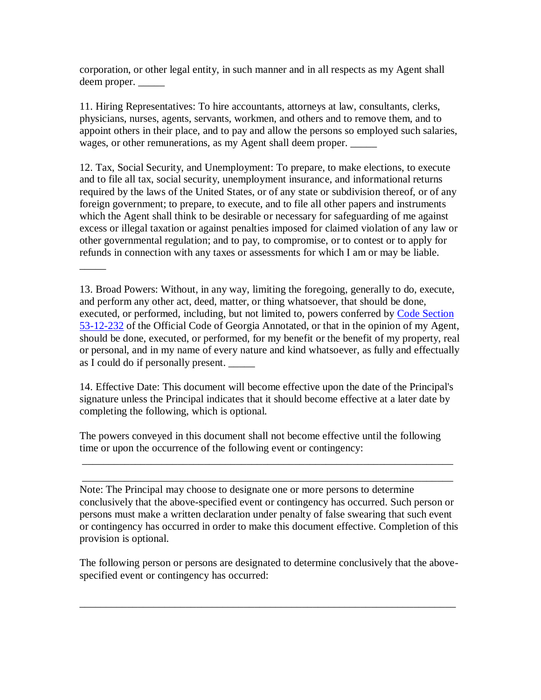corporation, or other legal entity, in such manner and in all respects as my Agent shall deem proper. \_\_\_\_\_

11. Hiring Representatives: To hire accountants, attorneys at law, consultants, clerks, physicians, nurses, agents, servants, workmen, and others and to remove them, and to appoint others in their place, and to pay and allow the persons so employed such salaries, wages, or other remunerations, as my Agent shall deem proper.

12. Tax, Social Security, and Unemployment: To prepare, to make elections, to execute and to file all tax, social security, unemployment insurance, and informational returns required by the laws of the United States, or of any state or subdivision thereof, or of any foreign government; to prepare, to execute, and to file all other papers and instruments which the Agent shall think to be desirable or necessary for safeguarding of me against excess or illegal taxation or against penalties imposed for claimed violation of any law or other governmental regulation; and to pay, to compromise, or to contest or to apply for refunds in connection with any taxes or assessments for which I am or may be liable.

\_\_\_\_\_

13. Broad Powers: Without, in any way, limiting the foregoing, generally to do, execute, and perform any other act, deed, matter, or thing whatsoever, that should be done, executed, or performed, including, but not limited to, powers conferred by [Code Section](http://web2.westlaw.com/find/default.wl?DB=1000468&DocName=GAST53%2D12%2D232&FindType=L&AP=&RS=WLW4.07&VR=2.0&FN=_top&SV=Split&MT=Georgia)  [53-12-232](http://web2.westlaw.com/find/default.wl?DB=1000468&DocName=GAST53%2D12%2D232&FindType=L&AP=&RS=WLW4.07&VR=2.0&FN=_top&SV=Split&MT=Georgia) of the Official Code of Georgia Annotated, or that in the opinion of my Agent, should be done, executed, or performed, for my benefit or the benefit of my property, real or personal, and in my name of every nature and kind whatsoever, as fully and effectually as I could do if personally present. \_\_\_\_\_

14. Effective Date: This document will become effective upon the date of the Principal's signature unless the Principal indicates that it should become effective at a later date by completing the following, which is optional.

The powers conveyed in this document shall not become effective until the following time or upon the occurrence of the following event or contingency:

 \_\_\_\_\_\_\_\_\_\_\_\_\_\_\_\_\_\_\_\_\_\_\_\_\_\_\_\_\_\_\_\_\_\_\_\_\_\_\_\_\_\_\_\_\_\_\_\_\_\_\_\_\_\_\_\_\_\_\_\_\_\_\_\_\_\_\_\_\_\_ \_\_\_\_\_\_\_\_\_\_\_\_\_\_\_\_\_\_\_\_\_\_\_\_\_\_\_\_\_\_\_\_\_\_\_\_\_\_\_\_\_\_\_\_\_\_\_\_\_\_\_\_\_\_\_\_\_\_\_\_\_\_\_\_\_\_\_\_\_\_

Note: The Principal may choose to designate one or more persons to determine conclusively that the above-specified event or contingency has occurred. Such person or persons must make a written declaration under penalty of false swearing that such event or contingency has occurred in order to make this document effective. Completion of this provision is optional.

The following person or persons are designated to determine conclusively that the abovespecified event or contingency has occurred:

\_\_\_\_\_\_\_\_\_\_\_\_\_\_\_\_\_\_\_\_\_\_\_\_\_\_\_\_\_\_\_\_\_\_\_\_\_\_\_\_\_\_\_\_\_\_\_\_\_\_\_\_\_\_\_\_\_\_\_\_\_\_\_\_\_\_\_\_\_\_\_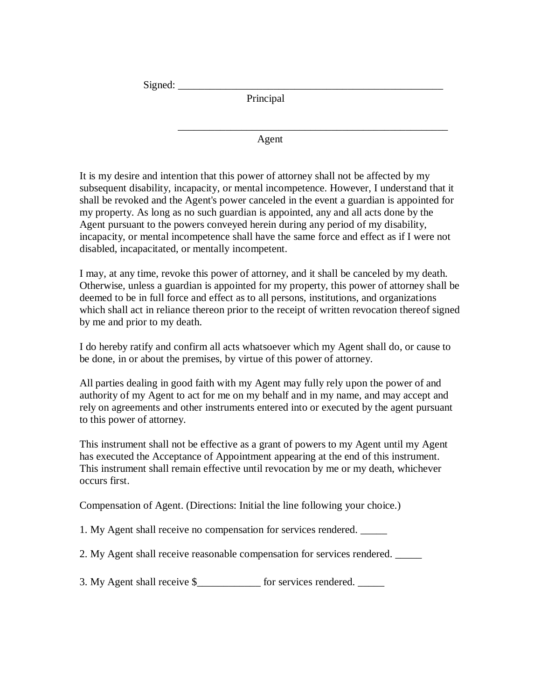$Signed:$ 

Principal

 \_\_\_\_\_\_\_\_\_\_\_\_\_\_\_\_\_\_\_\_\_\_\_\_\_\_\_\_\_\_\_\_\_\_\_\_\_\_\_\_\_\_\_\_\_\_\_\_\_\_\_ Agent

It is my desire and intention that this power of attorney shall not be affected by my subsequent disability, incapacity, or mental incompetence. However, I understand that it shall be revoked and the Agent's power canceled in the event a guardian is appointed for my property. As long as no such guardian is appointed, any and all acts done by the Agent pursuant to the powers conveyed herein during any period of my disability, incapacity, or mental incompetence shall have the same force and effect as if I were not disabled, incapacitated, or mentally incompetent.

I may, at any time, revoke this power of attorney, and it shall be canceled by my death. Otherwise, unless a guardian is appointed for my property, this power of attorney shall be deemed to be in full force and effect as to all persons, institutions, and organizations which shall act in reliance thereon prior to the receipt of written revocation thereof signed by me and prior to my death.

I do hereby ratify and confirm all acts whatsoever which my Agent shall do, or cause to be done, in or about the premises, by virtue of this power of attorney.

All parties dealing in good faith with my Agent may fully rely upon the power of and authority of my Agent to act for me on my behalf and in my name, and may accept and rely on agreements and other instruments entered into or executed by the agent pursuant to this power of attorney.

This instrument shall not be effective as a grant of powers to my Agent until my Agent has executed the Acceptance of Appointment appearing at the end of this instrument. This instrument shall remain effective until revocation by me or my death, whichever occurs first.

Compensation of Agent. (Directions: Initial the line following your choice.)

1. My Agent shall receive no compensation for services rendered. \_\_\_\_\_

2. My Agent shall receive reasonable compensation for services rendered. \_\_\_\_\_

3. My Agent shall receive \$\_\_\_\_\_\_\_\_\_\_\_\_ for services rendered. \_\_\_\_\_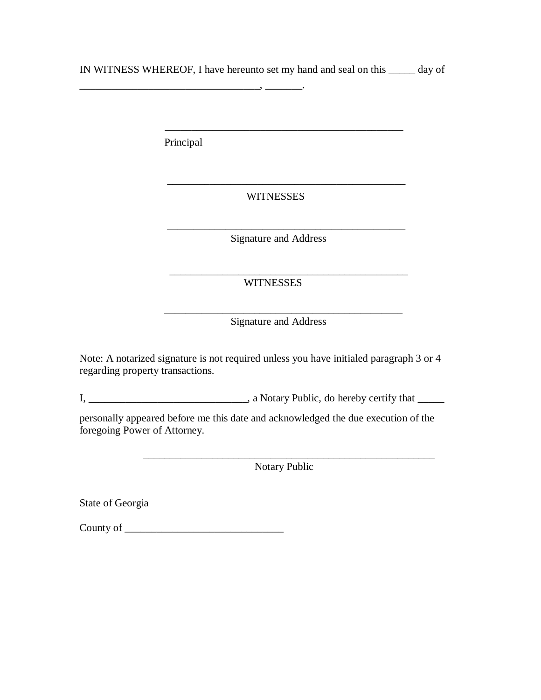IN WITNESS WHEREOF, I have hereunto set my hand and seal on this \_\_\_\_\_ day of

 $\overline{\phantom{a}}$  ,  $\overline{\phantom{a}}$  ,  $\overline{\phantom{a}}$  ,  $\overline{\phantom{a}}$  ,  $\overline{\phantom{a}}$  ,  $\overline{\phantom{a}}$  ,  $\overline{\phantom{a}}$  ,  $\overline{\phantom{a}}$  ,  $\overline{\phantom{a}}$  ,  $\overline{\phantom{a}}$  ,  $\overline{\phantom{a}}$  ,  $\overline{\phantom{a}}$  ,  $\overline{\phantom{a}}$  ,  $\overline{\phantom{a}}$  ,  $\overline{\phantom{a}}$  ,  $\overline{\phantom{a}}$ 

\_\_\_\_\_\_\_\_\_\_\_\_\_\_\_\_\_\_\_\_\_\_\_\_\_\_\_\_\_\_\_\_\_\_\_\_\_\_\_\_\_\_\_\_\_

\_\_\_\_\_\_\_\_\_\_\_\_\_\_\_\_\_\_\_\_\_\_\_\_\_\_\_\_\_\_\_\_\_\_\_\_\_\_\_\_\_\_\_\_\_

\_\_\_\_\_\_\_\_\_\_\_\_\_\_\_\_\_\_\_\_\_\_\_\_\_\_\_\_\_\_\_\_\_\_\_\_\_\_\_\_\_\_\_\_\_

Principal

\_\_\_\_\_\_\_\_\_\_\_\_\_\_\_\_\_\_\_\_\_\_\_\_\_\_\_\_\_\_\_\_\_\_, \_\_\_\_\_\_\_.

# WITNESSES

Signature and Address

## $\frac{1}{\sqrt{2}}$  ,  $\frac{1}{\sqrt{2}}$  ,  $\frac{1}{\sqrt{2}}$  ,  $\frac{1}{\sqrt{2}}$  ,  $\frac{1}{\sqrt{2}}$  ,  $\frac{1}{\sqrt{2}}$  ,  $\frac{1}{\sqrt{2}}$  ,  $\frac{1}{\sqrt{2}}$  ,  $\frac{1}{\sqrt{2}}$  ,  $\frac{1}{\sqrt{2}}$  ,  $\frac{1}{\sqrt{2}}$  ,  $\frac{1}{\sqrt{2}}$  ,  $\frac{1}{\sqrt{2}}$  ,  $\frac{1}{\sqrt{2}}$  ,  $\frac{1}{\sqrt{2}}$ WITNESSES

Signature and Address

Note: A notarized signature is not required unless you have initialed paragraph 3 or 4 regarding property transactions.

I, \_\_\_\_\_\_\_\_\_\_\_\_\_\_\_\_\_\_\_\_\_\_\_\_\_\_\_\_\_\_\_, a Notary Public, do hereby certify that \_\_\_\_\_

personally appeared before me this date and acknowledged the due execution of the foregoing Power of Attorney.

 \_\_\_\_\_\_\_\_\_\_\_\_\_\_\_\_\_\_\_\_\_\_\_\_\_\_\_\_\_\_\_\_\_\_\_\_\_\_\_\_\_\_\_\_\_\_\_\_\_\_\_\_\_\_\_ Notary Public

State of Georgia

County of \_\_\_\_\_\_\_\_\_\_\_\_\_\_\_\_\_\_\_\_\_\_\_\_\_\_\_\_\_\_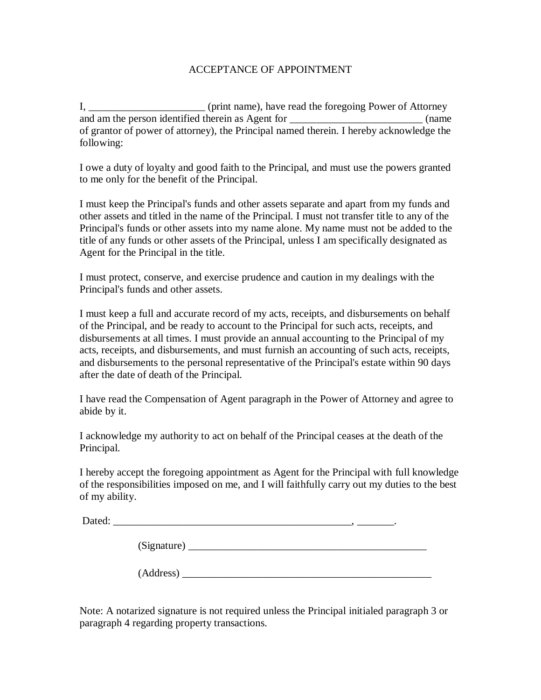## ACCEPTANCE OF APPOINTMENT

I, \_\_\_\_\_\_\_\_\_\_\_\_\_\_\_\_\_\_\_\_\_\_ (print name), have read the foregoing Power of Attorney and am the person identified therein as Agent for \_\_\_\_\_\_\_\_\_\_\_\_\_\_\_\_\_\_\_\_\_\_\_\_\_\_\_\_\_\_\_ (name of grantor of power of attorney), the Principal named therein. I hereby acknowledge the following:

I owe a duty of loyalty and good faith to the Principal, and must use the powers granted to me only for the benefit of the Principal.

I must keep the Principal's funds and other assets separate and apart from my funds and other assets and titled in the name of the Principal. I must not transfer title to any of the Principal's funds or other assets into my name alone. My name must not be added to the title of any funds or other assets of the Principal, unless I am specifically designated as Agent for the Principal in the title.

I must protect, conserve, and exercise prudence and caution in my dealings with the Principal's funds and other assets.

I must keep a full and accurate record of my acts, receipts, and disbursements on behalf of the Principal, and be ready to account to the Principal for such acts, receipts, and disbursements at all times. I must provide an annual accounting to the Principal of my acts, receipts, and disbursements, and must furnish an accounting of such acts, receipts, and disbursements to the personal representative of the Principal's estate within 90 days after the date of death of the Principal.

I have read the Compensation of Agent paragraph in the Power of Attorney and agree to abide by it.

I acknowledge my authority to act on behalf of the Principal ceases at the death of the Principal.

I hereby accept the foregoing appointment as Agent for the Principal with full knowledge of the responsibilities imposed on me, and I will faithfully carry out my duties to the best of my ability.

Dated: \_\_\_\_\_\_\_\_\_\_\_\_\_\_\_\_\_\_\_\_\_\_\_\_\_\_\_\_\_\_\_\_\_\_\_\_\_\_\_\_\_\_\_\_\_, \_\_\_\_\_\_\_.

 $(Si$ gnature $)$ 

(Address) \_\_\_\_\_\_\_\_\_\_\_\_\_\_\_\_\_\_\_\_\_\_\_\_\_\_\_\_\_\_\_\_\_\_\_\_\_\_\_\_\_\_\_\_\_\_\_

Note: A notarized signature is not required unless the Principal initialed paragraph 3 or paragraph 4 regarding property transactions.